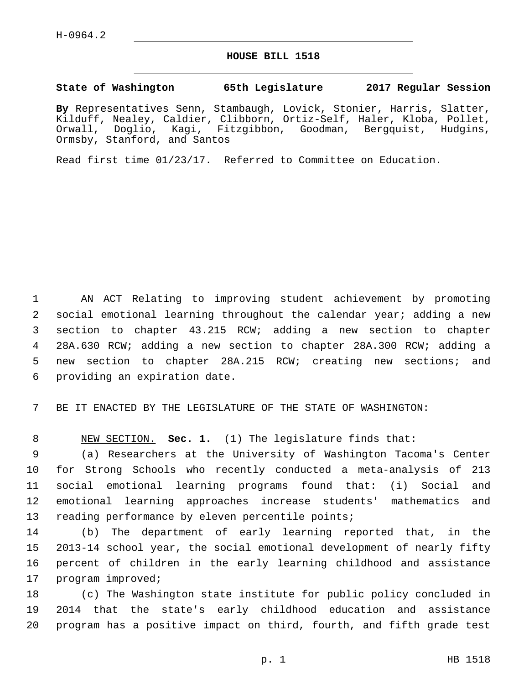## **HOUSE BILL 1518**

## **State of Washington 65th Legislature 2017 Regular Session**

**By** Representatives Senn, Stambaugh, Lovick, Stonier, Harris, Slatter, Kilduff, Nealey, Caldier, Clibborn, Ortiz-Self, Haler, Kloba, Pollet, Orwall, Doglio, Kagi, Fitzgibbon, Goodman, Bergquist, Hudgins, Ormsby, Stanford, and Santos

Read first time 01/23/17. Referred to Committee on Education.

 AN ACT Relating to improving student achievement by promoting social emotional learning throughout the calendar year; adding a new section to chapter 43.215 RCW; adding a new section to chapter 28A.630 RCW; adding a new section to chapter 28A.300 RCW; adding a new section to chapter 28A.215 RCW; creating new sections; and 6 providing an expiration date.

7 BE IT ENACTED BY THE LEGISLATURE OF THE STATE OF WASHINGTON:

8 NEW SECTION. **Sec. 1.** (1) The legislature finds that:

 (a) Researchers at the University of Washington Tacoma's Center for Strong Schools who recently conducted a meta-analysis of 213 social emotional learning programs found that: (i) Social and emotional learning approaches increase students' mathematics and 13 reading performance by eleven percentile points;

 (b) The department of early learning reported that, in the 2013-14 school year, the social emotional development of nearly fifty percent of children in the early learning childhood and assistance 17 program improved;

18 (c) The Washington state institute for public policy concluded in 19 2014 that the state's early childhood education and assistance 20 program has a positive impact on third, fourth, and fifth grade test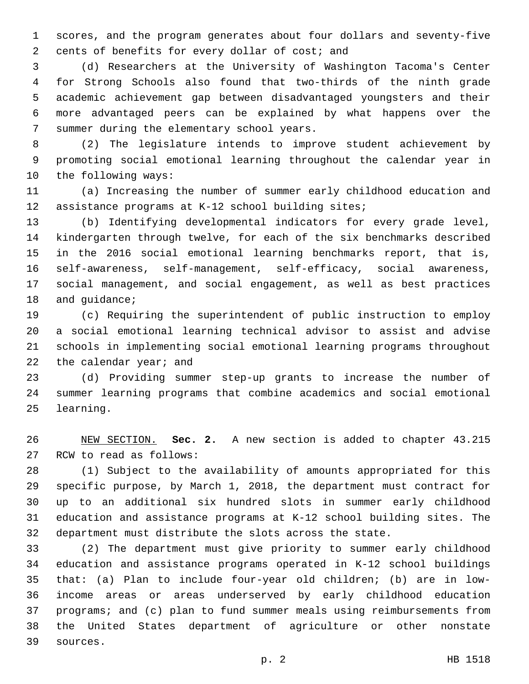scores, and the program generates about four dollars and seventy-five 2 cents of benefits for every dollar of cost; and

 (d) Researchers at the University of Washington Tacoma's Center for Strong Schools also found that two-thirds of the ninth grade academic achievement gap between disadvantaged youngsters and their more advantaged peers can be explained by what happens over the 7 summer during the elementary school years.

 (2) The legislature intends to improve student achievement by promoting social emotional learning throughout the calendar year in 10 the following ways:

 (a) Increasing the number of summer early childhood education and assistance programs at K-12 school building sites;

 (b) Identifying developmental indicators for every grade level, kindergarten through twelve, for each of the six benchmarks described in the 2016 social emotional learning benchmarks report, that is, self-awareness, self-management, self-efficacy, social awareness, social management, and social engagement, as well as best practices 18 and quidance;

 (c) Requiring the superintendent of public instruction to employ a social emotional learning technical advisor to assist and advise schools in implementing social emotional learning programs throughout 22 the calendar year; and

 (d) Providing summer step-up grants to increase the number of summer learning programs that combine academics and social emotional 25 learning.

 NEW SECTION. **Sec. 2.** A new section is added to chapter 43.215 27 RCW to read as follows:

 (1) Subject to the availability of amounts appropriated for this specific purpose, by March 1, 2018, the department must contract for up to an additional six hundred slots in summer early childhood education and assistance programs at K-12 school building sites. The department must distribute the slots across the state.

 (2) The department must give priority to summer early childhood education and assistance programs operated in K-12 school buildings that: (a) Plan to include four-year old children; (b) are in low- income areas or areas underserved by early childhood education programs; and (c) plan to fund summer meals using reimbursements from the United States department of agriculture or other nonstate 39 sources.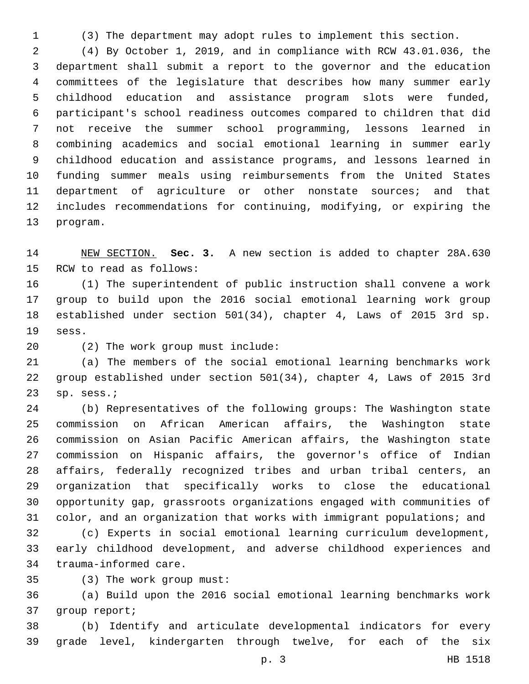(3) The department may adopt rules to implement this section.

 (4) By October 1, 2019, and in compliance with RCW 43.01.036, the department shall submit a report to the governor and the education committees of the legislature that describes how many summer early childhood education and assistance program slots were funded, participant's school readiness outcomes compared to children that did not receive the summer school programming, lessons learned in combining academics and social emotional learning in summer early childhood education and assistance programs, and lessons learned in funding summer meals using reimbursements from the United States department of agriculture or other nonstate sources; and that includes recommendations for continuing, modifying, or expiring the 13 program.

 NEW SECTION. **Sec. 3.** A new section is added to chapter 28A.630 15 RCW to read as follows:

 (1) The superintendent of public instruction shall convene a work group to build upon the 2016 social emotional learning work group established under section 501(34), chapter 4, Laws of 2015 3rd sp. sess.19

(2) The work group must include:20

 (a) The members of the social emotional learning benchmarks work group established under section 501(34), chapter 4, Laws of 2015 3rd sp. sess.;

 (b) Representatives of the following groups: The Washington state commission on African American affairs, the Washington state commission on Asian Pacific American affairs, the Washington state commission on Hispanic affairs, the governor's office of Indian affairs, federally recognized tribes and urban tribal centers, an organization that specifically works to close the educational opportunity gap, grassroots organizations engaged with communities of color, and an organization that works with immigrant populations; and

 (c) Experts in social emotional learning curriculum development, early childhood development, and adverse childhood experiences and 34 trauma-informed care.

(3) The work group must:35

 (a) Build upon the 2016 social emotional learning benchmarks work 37 group report;

 (b) Identify and articulate developmental indicators for every grade level, kindergarten through twelve, for each of the six

p. 3 HB 1518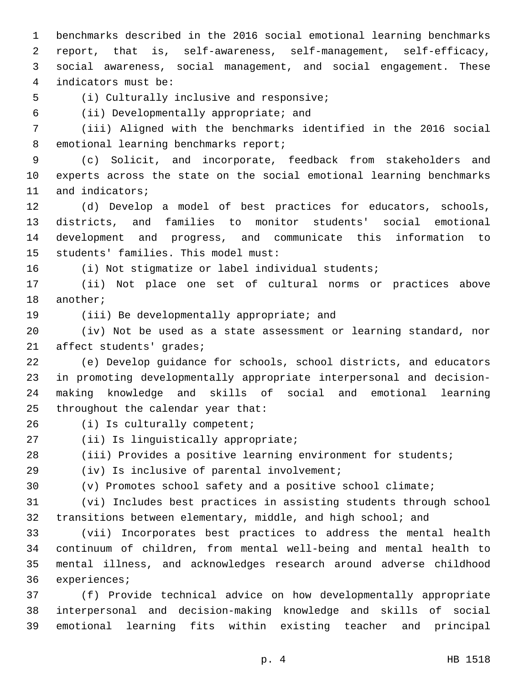benchmarks described in the 2016 social emotional learning benchmarks report, that is, self-awareness, self-management, self-efficacy, social awareness, social management, and social engagement. These indicators must be:4

5 (i) Culturally inclusive and responsive;

(ii) Developmentally appropriate; and6

 (iii) Aligned with the benchmarks identified in the 2016 social 8 emotional learning benchmarks report;

 (c) Solicit, and incorporate, feedback from stakeholders and experts across the state on the social emotional learning benchmarks 11 and indicators;

 (d) Develop a model of best practices for educators, schools, districts, and families to monitor students' social emotional development and progress, and communicate this information to 15 students' families. This model must:

(i) Not stigmatize or label individual students;

 (ii) Not place one set of cultural norms or practices above 18 another;

19 (iii) Be developmentally appropriate; and

 (iv) Not be used as a state assessment or learning standard, nor 21 affect students' grades;

 (e) Develop guidance for schools, school districts, and educators in promoting developmentally appropriate interpersonal and decision- making knowledge and skills of social and emotional learning 25 throughout the calendar year that:

26 (i) Is culturally competent;

27 (ii) Is linguistically appropriate;

(iii) Provides a positive learning environment for students;

(iv) Is inclusive of parental involvement;

(v) Promotes school safety and a positive school climate;

 (vi) Includes best practices in assisting students through school transitions between elementary, middle, and high school; and

 (vii) Incorporates best practices to address the mental health continuum of children, from mental well-being and mental health to mental illness, and acknowledges research around adverse childhood 36 experiences;

 (f) Provide technical advice on how developmentally appropriate interpersonal and decision-making knowledge and skills of social emotional learning fits within existing teacher and principal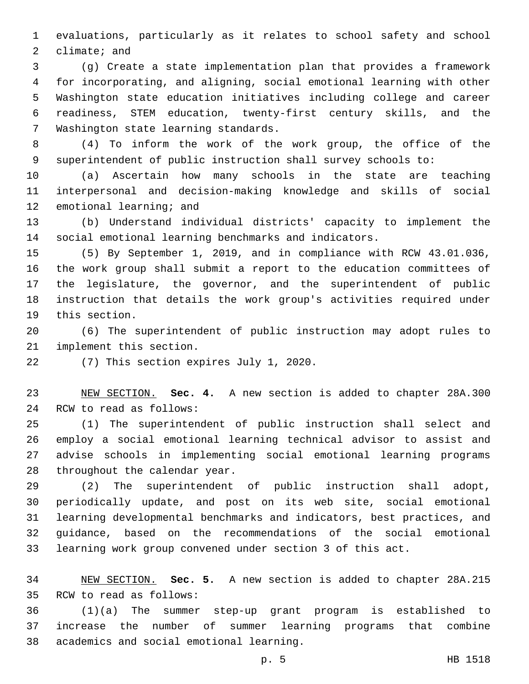evaluations, particularly as it relates to school safety and school climate; and

 (g) Create a state implementation plan that provides a framework for incorporating, and aligning, social emotional learning with other Washington state education initiatives including college and career readiness, STEM education, twenty-first century skills, and the 7 Washington state learning standards.

 (4) To inform the work of the work group, the office of the superintendent of public instruction shall survey schools to:

 (a) Ascertain how many schools in the state are teaching interpersonal and decision-making knowledge and skills of social 12 emotional learning; and

 (b) Understand individual districts' capacity to implement the social emotional learning benchmarks and indicators.

 (5) By September 1, 2019, and in compliance with RCW 43.01.036, the work group shall submit a report to the education committees of the legislature, the governor, and the superintendent of public instruction that details the work group's activities required under 19 this section.

 (6) The superintendent of public instruction may adopt rules to 21 implement this section.

22 (7) This section expires July 1, 2020.

 NEW SECTION. **Sec. 4.** A new section is added to chapter 28A.300 24 RCW to read as follows:

 (1) The superintendent of public instruction shall select and employ a social emotional learning technical advisor to assist and advise schools in implementing social emotional learning programs 28 throughout the calendar year.

 (2) The superintendent of public instruction shall adopt, periodically update, and post on its web site, social emotional learning developmental benchmarks and indicators, best practices, and guidance, based on the recommendations of the social emotional learning work group convened under section 3 of this act.

 NEW SECTION. **Sec. 5.** A new section is added to chapter 28A.215 35 RCW to read as follows:

 (1)(a) The summer step-up grant program is established to increase the number of summer learning programs that combine 38 academics and social emotional learning.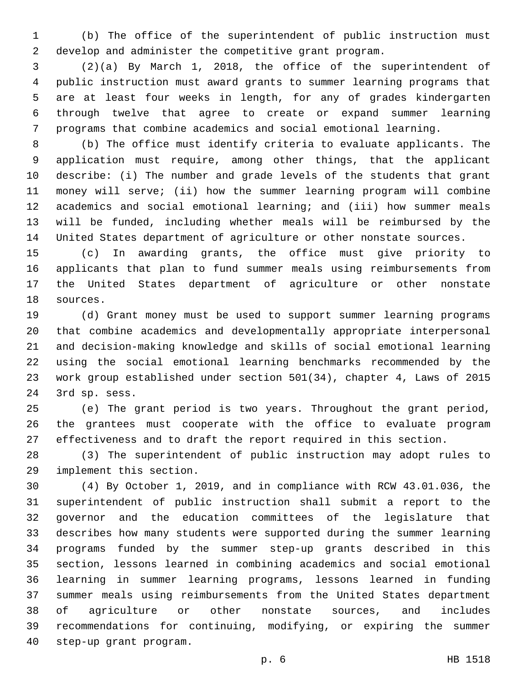(b) The office of the superintendent of public instruction must develop and administer the competitive grant program.

 (2)(a) By March 1, 2018, the office of the superintendent of public instruction must award grants to summer learning programs that are at least four weeks in length, for any of grades kindergarten through twelve that agree to create or expand summer learning programs that combine academics and social emotional learning.

 (b) The office must identify criteria to evaluate applicants. The application must require, among other things, that the applicant describe: (i) The number and grade levels of the students that grant money will serve; (ii) how the summer learning program will combine academics and social emotional learning; and (iii) how summer meals will be funded, including whether meals will be reimbursed by the United States department of agriculture or other nonstate sources.

 (c) In awarding grants, the office must give priority to applicants that plan to fund summer meals using reimbursements from the United States department of agriculture or other nonstate 18 sources.

 (d) Grant money must be used to support summer learning programs that combine academics and developmentally appropriate interpersonal and decision-making knowledge and skills of social emotional learning using the social emotional learning benchmarks recommended by the work group established under section 501(34), chapter 4, Laws of 2015 24 3rd sp. sess.

 (e) The grant period is two years. Throughout the grant period, the grantees must cooperate with the office to evaluate program effectiveness and to draft the report required in this section.

 (3) The superintendent of public instruction may adopt rules to 29 implement this section.

 (4) By October 1, 2019, and in compliance with RCW 43.01.036, the superintendent of public instruction shall submit a report to the governor and the education committees of the legislature that describes how many students were supported during the summer learning programs funded by the summer step-up grants described in this section, lessons learned in combining academics and social emotional learning in summer learning programs, lessons learned in funding summer meals using reimbursements from the United States department of agriculture or other nonstate sources, and includes recommendations for continuing, modifying, or expiring the summer 40 step-up grant program.